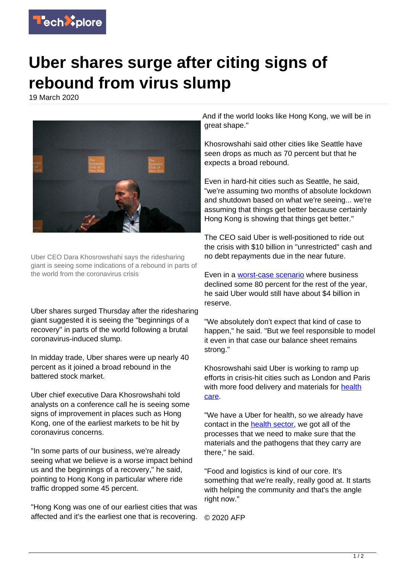

## **Uber shares surge after citing signs of rebound from virus slump**

19 March 2020



Uber CEO Dara Khosrowshahi says the ridesharing giant is seeing some indications of a rebound in parts of the world from the coronavirus crisis

Uber shares surged Thursday after the ridesharing giant suggested it is seeing the "beginnings of a recovery" in parts of the world following a brutal coronavirus-induced slump.

In midday trade, Uber shares were up nearly 40 percent as it joined a broad rebound in the battered stock market.

Uber chief executive Dara Khosrowshahi told analysts on a conference call he is seeing some signs of improvement in places such as Hong Kong, one of the earliest markets to be hit by coronavirus concerns.

"In some parts of our business, we're already seeing what we believe is a worse impact behind us and the beginnings of a recovery," he said, pointing to Hong Kong in particular where ride traffic dropped some 45 percent.

"Hong Kong was one of our earliest cities that was affected and it's the earliest one that is recovering.

And if the world looks like Hong Kong, we will be in great shape."

Khosrowshahi said other cities like Seattle have seen drops as much as 70 percent but that he expects a broad rebound.

Even in hard-hit cities such as Seattle, he said, "we're assuming two months of absolute lockdown and shutdown based on what we're seeing... we're assuming that things get better because certainly Hong Kong is showing that things get better."

The CEO said Uber is well-positioned to ride out the crisis with \$10 billion in "unrestricted" cash and no debt repayments due in the near future.

Even in a **worst-case scenario** where business declined some 80 percent for the rest of the year, he said Uber would still have about \$4 billion in reserve.

"We absolutely don't expect that kind of case to happen," he said. "But we feel responsible to model it even in that case our balance sheet remains strong."

Khosrowshahi said Uber is working to ramp up efforts in crisis-hit cities such as London and Paris with more food delivery and materials for [health](https://techxplore.com/tags/health+care/) [care.](https://techxplore.com/tags/health+care/)

"We have a Uber for health, so we already have contact in the [health sector,](https://techxplore.com/tags/health+sector/) we got all of the processes that we need to make sure that the materials and the pathogens that they carry are there," he said.

"Food and logistics is kind of our core. It's something that we're really, really good at. It starts with helping the community and that's the angle right now."

© 2020 AFP